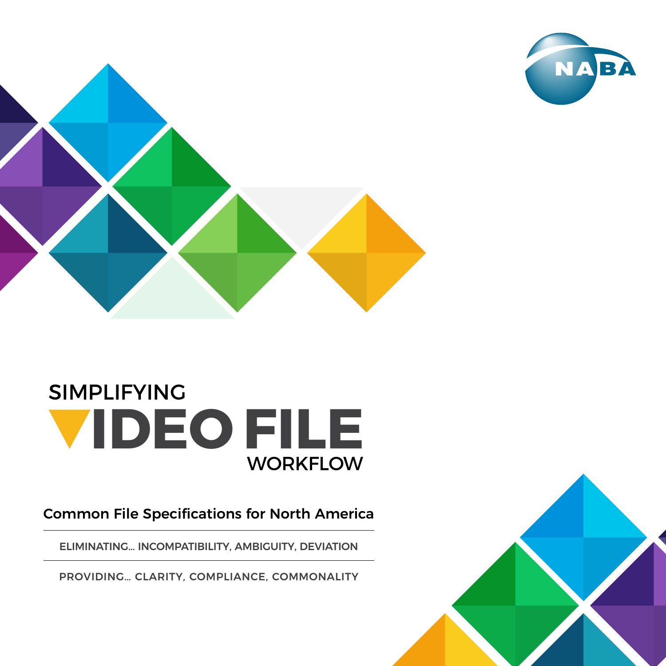



## SIMPLIFYING **IDEO FILE WORKFLOW**

Common File Specifications for North America

ELIMINATING… INCOMPATIBILITY, AMBIGUITY, DEVIATION

PROVIDING… CLARITY, COMPLIANCE, COMMONALITY

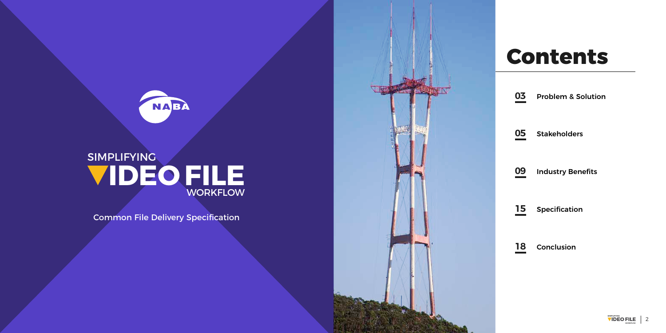

## **SIMPLIFYING IDEO FILE WORKFLOW**

# **Contents**

Problem & Solution

**Stakeholders** 

Industry Benefits

Specification

Conclusion



**18**

**15**

**09**

**05**

**03**

**图 等在 等质** 

Common File Delivery Specification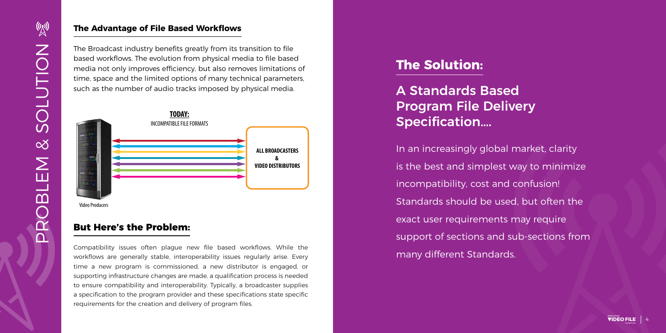

### **The Advantage of File Based Workflows**

The Broadcast industry benefits greatly from its transition to file based workflows. The evolution from physical media to file based media not only improves efficiency, but also removes limitations of time, space and the limited options of many technical parameters, such as the number of audio tracks imposed by physical media.

## **But Here's the Problem:**

Compatibility issues often plague new file based workflows. While the workflows are generally stable, interoperability issues regularly arise. Every time a new program is commissioned, a new distributor is engaged, or supporting infrastructure changes are made, a qualification process is needed to ensure compatibility and interoperability. Typically, a broadcaster supplies a specification to the program provider and these specifications state specific requirements for the creation and delivery of program files.

## **The Solution:**

A Standards Based Program File Delivery Specification….

In an increasingly global market, clarity is the best and simplest way to minimize incompatibility, cost and confusion! Standards should be used, but often the exact user requirements may require support of sections and sub-sections from many different Standards.



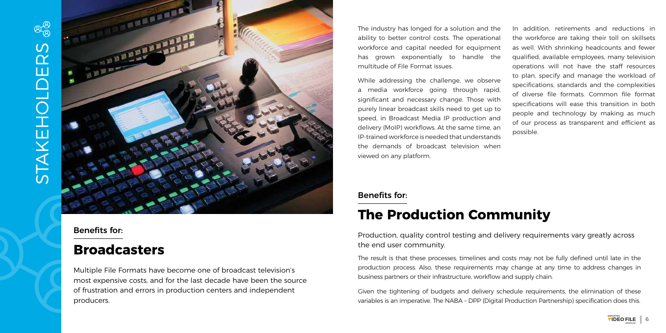

## Benefits for:

## **Broadcasters**

Multiple File Formats have become one of broadcast television's most expensive costs, and for the last decade have been the source of frustration and errors in production centers and independent producers.

The industry has longed for a solution and the ability to better control costs. The operational workforce and capital needed for equipment has grown exponentially to handle the multitude of File Format issues.

While addressing the challenge, we observe a media workforce going through rapid, significant and necessary change. Those with purely linear broadcast skills need to get up to speed, in Broadcast Media IP production and delivery (MoIP) workflows. At the same time, an IP-trained workforce is needed that understands the demands of broadcast television when viewed on any platform.

In addition, retirements and reductions in the workforce are taking their toll on skillsets as well. With shrinking headcounts and fewer qualified, available employees, many television operations will not have the staff resources to plan, specify and manage the workload of specifications, standards and the complexities of diverse file formats. Common file format specifications will ease this transition in both people and technology by making as much of our process as transparent and efficient as

possible.

### Benefits for:

# **The Production Community**

Production, quality control testing and delivery requirements vary greatly across the end user community.

The result is that these processes, timelines and costs may not be fully defined until late in the production process. Also, these requirements may change at any time to address changes in business partners or their infrastructure, workflow and supply chain.

Given the tightening of budgets and delivery schedule requirements, the elimination of these variables is an imperative. The NABA – DPP (Digital Production Partnership) specification does this.



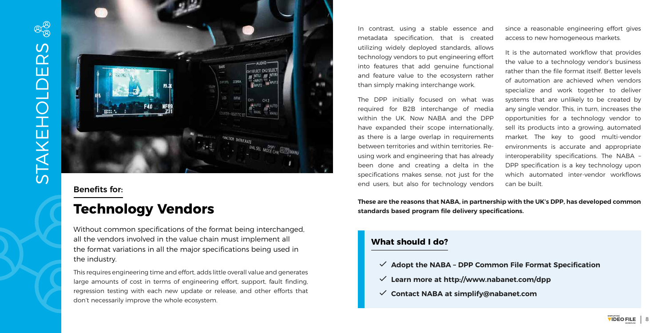

In contrast, using a stable essence and metadata specification, that is created utilizing widely deployed standards, allows technology vendors to put engineering effort into features that add genuine functional and feature value to the ecosystem rather than simply making interchange work.

The DPP initially focused on what was required for B2B interchange of media within the UK. Now NABA and the DPP have expanded their scope internationally, as there is a large overlap in requirements between territories and within territories. Reusing work and engineering that has already been done and creating a delta in the specifications makes sense, not just for the end users, but also for technology vendors

since a reasonable engineering effort gives access to new homogeneous markets.

It is the automated workflow that provides the value to a technology vendor's business rather than the file format itself. Better levels of automation are achieved when vendors specialize and work together to deliver systems that are unlikely to be created by any single vendor. This, in turn, increases the opportunities for a technology vendor to sell its products into a growing, automated market. The key to good multi-vendor environments is accurate and appropriate interoperability specifications. The NABA – DPP specification is a key technology upon which automated inter-vendor workflows

can be built.

**These are the reasons that NABA, in partnership with the UK's DPP, has developed common standards based program file delivery specifications.**



## Benefits for:

## **Technology Vendors**

Without common specifications of the format being interchanged, all the vendors involved in the value chain must implement all the format variations in all the major specifications being used in the industry.

This requires engineering time and effort, adds little overall value and generates large amounts of cost in terms of engineering effort, support, fault finding, regression testing with each new update or release, and other efforts that don't necessarily improve the whole ecosystem.

### **What should I do?**

- ŭ **Adopt the NABA DPP Common File Format Specification**
- ŭ **Learn more at http://www.nabanet.com/dpp**
- ŭ **Contact NABA at simplify@nabanet.com**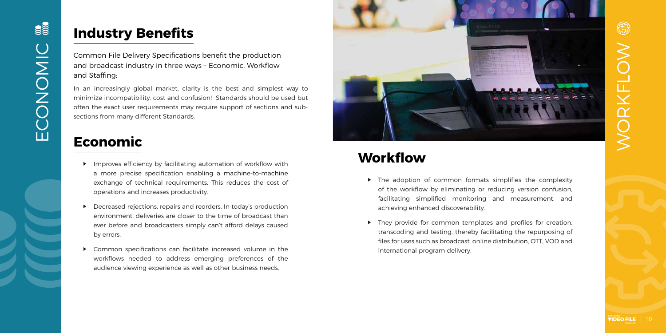## **Industry Benefits**

Common File Delivery Specifications benefit the production and broadcast industry in three ways – Economic, Workflow and Staffing:

In an increasingly global market, clarity is the best and simplest way to minimize incompatibility, cost and confusion! Standards should be used but often the exact user requirements may require support of sections and subsections from many different Standards.

## **Economic**

- $\blacktriangleright$  Improves efficiency by facilitating automation of workflow with a more precise specification enabling a machine-to-machine exchange of technical requirements. This reduces the cost of operations and increases productivity.
- ▶ Decreased rejections, repairs and reorders. In today's production environment, deliveries are closer to the time of broadcast than ever before and broadcasters simply can't afford delays caused by errors.
- ▶ Common specifications can facilitate increased volume in the workflows needed to address emerging preferences of the audience viewing experience as well as other business needs.



- $\triangleright$  The adoption of common formats simplifies the complexity of the workflow by eliminating or reducing version confusion, facilitating simplified monitoring and measurement, and achieving enhanced discoverability.
- ▶ They provide for common templates and profiles for creation, transcoding and testing, thereby facilitating the repurposing of files for uses such as broadcast, online distribution, OTT, VOD and international program delivery.

# 63 WORKFLOW ORKFLOW

# **Workflow**

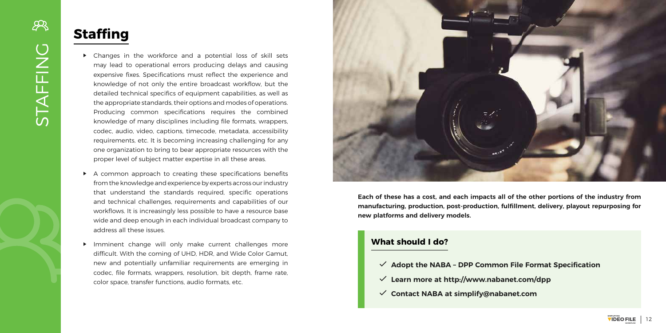

# **Staffing**

- $\triangleright$  Changes in the workforce and a potential loss of skill sets may lead to operational errors producing delays and causing expensive fixes. Specifications must reflect the experience and knowledge of not only the entire broadcast workflow, but the detailed technical specifics of equipment capabilities, as well as the appropriate standards, their options and modes of operations. Producing common specifications requires the combined knowledge of many disciplines including file formats, wrappers, codec, audio, video, captions, timecode, metadata, accessibility requirements, etc. It is becoming increasing challenging for any one organization to bring to bear appropriate resources with the proper level of subject matter expertise in all these areas.
- $\triangleright$  A common approach to creating these specifications benefits from the knowledge and experience by experts across our industry that understand the standards required, specific operations and technical challenges, requirements and capabilities of our workflows. It is increasingly less possible to have a resource base wide and deep enough in each individual broadcast company to address all these issues.
- Imminent change will only make current challenges more difficult. With the coming of UHD, HDR, and Wide Color Gamut, new and potentially unfamiliar requirements are emerging in codec, file formats, wrappers, resolution, bit depth, frame rate, color space, transfer functions, audio formats, etc.



**Each of these has a cost, and each impacts all of the other portions of the industry from manufacturing, production, post-production, fulfillment, delivery, playout repurposing for new platforms and delivery models.**

### **What should I do?**

- ŭ **Adopt the NABA DPP Common File Format Specification**
- ŭ **Learn more at http://www.nabanet.com/dpp**
- ŭ **Contact NABA at simplify@nabanet.com**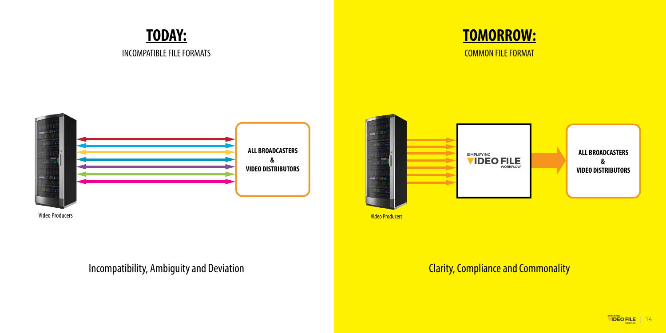



## Incompatibility, Ambiguity and Deviation Clarity, Compliance and Commonality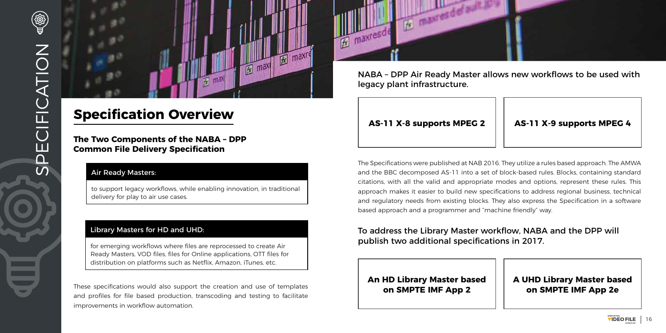**The Two Components of the NABA – DPP Common File Delivery Specification**

### Air Ready Masters:

to support legacy workflows, while enabling innovation, in traditional delivery for play to air use cases.

### Library Masters for HD and UHD:

for emerging workflows where files are reprocessed to create Air Ready Masters, VOD files, files for Online applications, OTT files for distribution on platforms such as Netflix, Amazon, iTunes, etc.

These specifications would also support the creation and use of templates and profiles for file based production, transcoding and testing to facilitate improvements in workflow automation.





## **Specification Overview**

NABA – DPP Air Ready Master allows new workflows to be used with legacy plant infrastructure.

## **AS-11 X-8 supports MPEG 2 AS-11 X-9 supports MPEG 4**

The Specifications were published at NAB 2016. They utilize a rules based approach. The AMWA and the BBC decomposed AS-11 into a set of block-based rules. Blocks, containing standard citations, with all the valid and appropriate modes and options, represent these rules. This approach makes it easier to build new specifications to address regional business, technical and regulatory needs from existing blocks. They also express the Specification in a software based approach and a programmer and "machine friendly" way.

## To address the Library Master workflow, NABA and the DPP will publish two additional specifications in 2017.

**An HD Library Master based on SMPTE IMF App 2**

### **A UHD Library Master based on SMPTE IMF App 2e**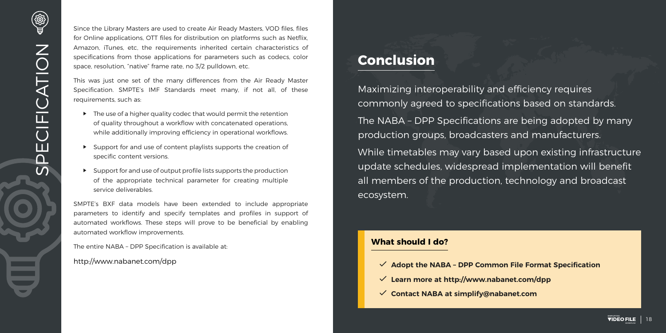

## **Conclusion**

Maximizing interoperability and efficiency requires commonly agreed to specifications based on standards. The NABA – DPP Specifications are being adopted by many production groups, broadcasters and manufacturers. While timetables may vary based upon existing infrastructure update schedules, widespread implementation will benefit all members of the production, technology and broadcast ecosystem.

Since the Library Masters are used to create Air Ready Masters, VOD files, files for Online applications, OTT files for distribution on platforms such as Netflix, Amazon, iTunes, etc, the requirements inherited certain characteristics of specifications from those applications for parameters such as codecs, color space, resolution, "native" frame rate, no 3/2 pulldown, etc.

- $\blacktriangleright$  The use of a higher quality codec that would permit the retention of quality throughout a workflow with concatenated operations, while additionally improving efficiency in operational workflows.
- $\blacktriangleright$  Support for and use of content playlists supports the creation of specific content versions.
- ▶ Support for and use of output profile lists supports the production of the appropriate technical parameter for creating multiple service deliverables.

This was just one set of the many differences from the Air Ready Master Specification. SMPTE's IMF Standards meet many, if not all, of these requirements, such as:

SMPTE's BXF data models have been extended to include appropriate parameters to identify and specify templates and profiles in support of automated workflows. These steps will prove to be beneficial by enabling automated workflow improvements.

The entire NABA – DPP Specification is available at:

http://www.nabanet.com/dpp

### **What should I do?**

- ŭ **Adopt the NABA DPP Common File Format Specification**
- ŭ **Learn more at http://www.nabanet.com/dpp**
- ŭ **Contact NABA at simplify@nabanet.com**